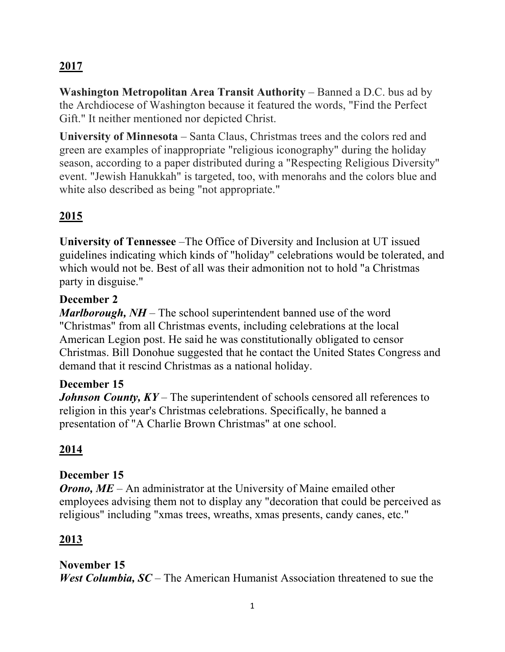# **2017**

**Washington Metropolitan Area Transit Authority** – Banned a D.C. bus ad by the Archdiocese of Washington because it featured the words, "Find the Perfect Gift." It neither mentioned nor depicted Christ.

**University of Minnesota** – Santa Claus, Christmas trees and the colors red and green are examples of inappropriate "religious iconography" during the holiday season, according to a paper distributed during a "Respecting Religious Diversity" event. "Jewish Hanukkah" is targeted, too, with menorahs and the colors blue and white also described as being "not appropriate."

## **2015**

**University of Tennessee** –The Office of Diversity and Inclusion at UT issued guidelines indicating which kinds of "holiday" celebrations would be tolerated, and which would not be. Best of all was their admonition not to hold "a Christmas party in disguise."

#### **December 2**

*Marlborough, NH* – The school superintendent banned use of the word "Christmas" from all Christmas events, including celebrations at the local American Legion post. He said he was constitutionally obligated to censor Christmas. Bill Donohue suggested that he contact the United States Congress and demand that it rescind Christmas as a national holiday.

#### **December 15**

*Johnson County, KY* – The superintendent of schools censored all references to religion in this year's Christmas celebrations. Specifically, he banned a presentation of "A Charlie Brown Christmas" at one school.

## **2014**

#### **December 15**

*Orono, ME* – An administrator at the University of Maine emailed other employees advising them not to display any "decoration that could be perceived as religious" including "xmas trees, wreaths, xmas presents, candy canes, etc."

#### **2013**

#### **November 15**

*West Columbia, SC* – The American Humanist Association threatened to sue the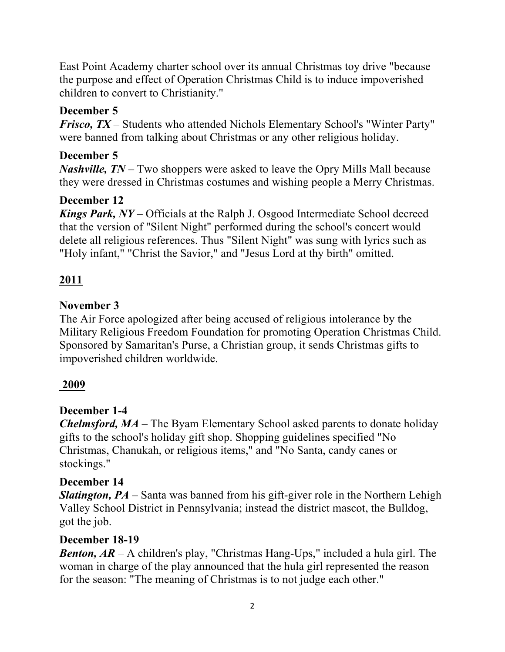East Point Academy charter school over its annual Christmas toy drive "because the purpose and effect of Operation Christmas Child is to induce impoverished children to convert to Christianity."

### **December 5**

*Frisco, TX* – Students who attended Nichols Elementary School's "Winter Party" were banned from talking about Christmas or any other religious holiday.

### **December 5**

*Nashville, TN* – Two shoppers were asked to leave the Opry Mills Mall because they were dressed in Christmas costumes and wishing people a Merry Christmas.

### **December 12**

*Kings Park, NY* – Officials at the Ralph J. Osgood Intermediate School decreed that the version of "Silent Night" performed during the school's concert would delete all religious references. Thus "Silent Night" was sung with lyrics such as "Holy infant," "Christ the Savior," and "Jesus Lord at thy birth" omitted.

## **2011**

#### **November 3**

The Air Force apologized after being accused of religious intolerance by the Military Religious Freedom Foundation for promoting Operation Christmas Child. Sponsored by Samaritan's Purse, a Christian group, it sends Christmas gifts to impoverished children worldwide.

#### **2009**

#### **December 1-4**

*Chelmsford, MA* – The Byam Elementary School asked parents to donate holiday gifts to the school's holiday gift shop. Shopping guidelines specified "No Christmas, Chanukah, or religious items," and "No Santa, candy canes or stockings."

#### **December 14**

*Slatington, PA* – Santa was banned from his gift-giver role in the Northern Lehigh Valley School District in Pennsylvania; instead the district mascot, the Bulldog, got the job.

#### **December 18-19**

*Benton, AR* – A children's play, "Christmas Hang-Ups," included a hula girl. The woman in charge of the play announced that the hula girl represented the reason for the season: "The meaning of Christmas is to not judge each other."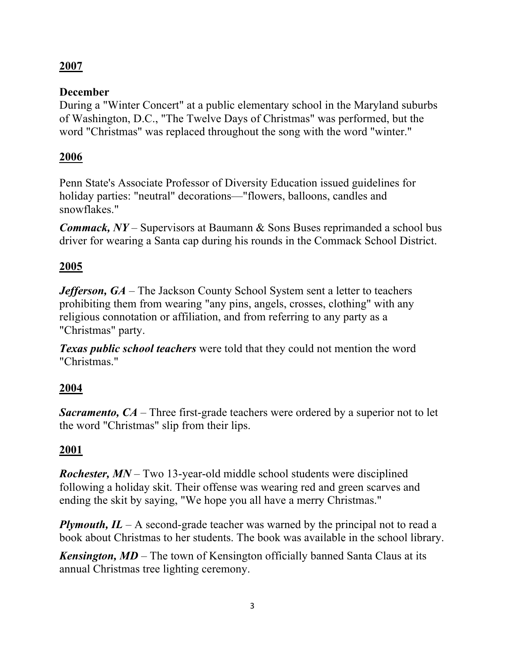## **2007**

### **December**

During a "Winter Concert" at a public elementary school in the Maryland suburbs of Washington, D.C., "The Twelve Days of Christmas" was performed, but the word "Christmas" was replaced throughout the song with the word "winter."

## **2006**

Penn State's Associate Professor of Diversity Education issued guidelines for holiday parties: "neutral" decorations—"flowers, balloons, candles and snowflakes."

*Commack, NY* – Supervisors at Baumann & Sons Buses reprimanded a school bus driver for wearing a Santa cap during his rounds in the Commack School District.

## **2005**

*Jefferson, GA* – The Jackson County School System sent a letter to teachers prohibiting them from wearing "any pins, angels, crosses, clothing" with any religious connotation or affiliation, and from referring to any party as a "Christmas" party.

*Texas public school teachers* were told that they could not mention the word "Christmas."

## **2004**

*Sacramento, CA* – Three first-grade teachers were ordered by a superior not to let the word "Christmas" slip from their lips.

#### **2001**

*Rochester, MN* – Two 13-year-old middle school students were disciplined following a holiday skit. Their offense was wearing red and green scarves and ending the skit by saying, "We hope you all have a merry Christmas."

*Plymouth, IL* – A second-grade teacher was warned by the principal not to read a book about Christmas to her students. The book was available in the school library.

*Kensington, MD* – The town of Kensington officially banned Santa Claus at its annual Christmas tree lighting ceremony.